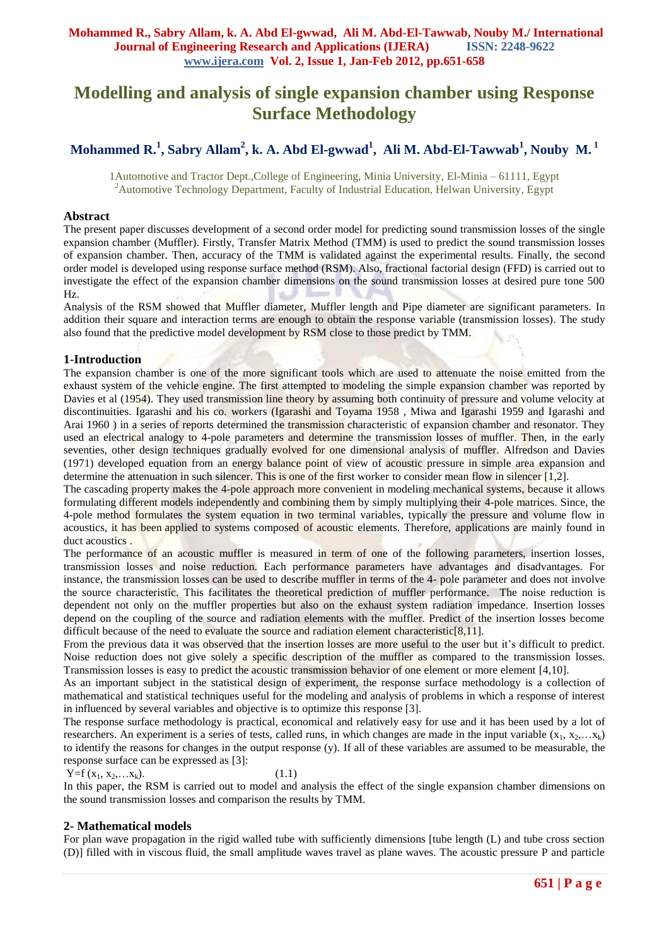# **Modelling and analysis of single expansion chamber using Response Surface Methodology**

## **Mohammed R. 1 , Sabry Allam<sup>2</sup> , k. A. Abd El-gwwad<sup>1</sup> , Ali M. Abd-El-Tawwab<sup>1</sup> , Nouby M. 1**

1Automotive and Tractor Dept.,College of Engineering, Minia University, El-Minia – 61111, Egypt <sup>2</sup>Automotive Technology Department, Faculty of Industrial Education, Helwan University, Egypt

## **Abstract**

The present paper discusses development of a second order model for predicting sound transmission losses of the single expansion chamber (Muffler). Firstly, Transfer Matrix Method (TMM) is used to predict the sound transmission losses of expansion chamber. Then, accuracy of the TMM is validated against the experimental results. Finally, the second order model is developed using response surface method (RSM). Also, fractional factorial design (FFD) is carried out to investigate the effect of the expansion chamber dimensions on the sound transmission losses at desired pure tone 500 Hz.

Analysis of the RSM showed that Muffler diameter, Muffler length and Pipe diameter are significant parameters. In addition their square and interaction terms are enough to obtain the response variable (transmission losses). The study also found that the predictive model development by RSM close to those predict by TMM.

## **1-Introduction**

The expansion chamber is one of the more significant tools which are used to attenuate the noise emitted from the exhaust system of the vehicle engine. The first attempted to modeling the simple expansion chamber was reported by Davies et al (1954). They used transmission line theory by assuming both continuity of pressure and volume velocity at discontinuities. Igarashi and his co. workers (Igarashi and Toyama 1958 , Miwa and Igarashi 1959 and Igarashi and Arai 1960 ) in a series of reports determined the transmission characteristic of expansion chamber and resonator. They used an electrical analogy to 4-pole parameters and determine the transmission losses of muffler. Then, in the early seventies, other design techniques gradually evolved for one dimensional analysis of muffler. Alfredson and Davies (1971) developed equation from an energy balance point of view of acoustic pressure in simple area expansion and determine the attenuation in such silencer. This is one of the first worker to consider mean flow in silencer [1,2].

The cascading property makes the 4-pole approach more convenient in modeling mechanical systems, because it allows formulating different models independently and combining them by simply multiplying their 4-pole matrices. Since, the 4-pole method formulates the system equation in two terminal variables, typically the pressure and volume flow in acoustics, it has been applied to systems composed of acoustic elements. Therefore, applications are mainly found in duct acoustics .

The performance of an acoustic muffler is measured in term of one of the following parameters, insertion losses, transmission losses and noise reduction. Each performance parameters have advantages and disadvantages. For instance, the transmission losses can be used to describe muffler in terms of the 4- pole parameter and does not involve the source characteristic. This facilitates the theoretical prediction of muffler performance. The noise reduction is dependent not only on the muffler properties but also on the exhaust system radiation impedance. Insertion losses depend on the coupling of the source and radiation elements with the muffler. Predict of the insertion losses become difficult because of the need to evaluate the source and radiation element characteristic[8,11].

From the previous data it was observed that the insertion losses are more useful to the user but it's difficult to predict. Noise reduction does not give solely a specific description of the muffler as compared to the transmission losses. Transmission losses is easy to predict the acoustic transmission behavior of one element or more element [4,10].

As an important subject in the statistical design of experiment, the response surface methodology is a collection of mathematical and statistical techniques useful for the modeling and analysis of problems in which a response of interest in influenced by several variables and objective is to optimize this response [3].

The response surface methodology is practical, economical and relatively easy for use and it has been used by a lot of researchers. An experiment is a series of tests, called runs, in which changes are made in the input variable  $(x_1, x_2, \ldots, x_k)$ to identify the reasons for changes in the output response (y). If all of these variables are assumed to be measurable, the response surface can be expressed as [3]:

 $Y=f(x_1, x_2,...x_k).$  (1.1)

In this paper, the RSM is carried out to model and analysis the effect of the single expansion chamber dimensions on the sound transmission losses and comparison the results by TMM.

### **2- Mathematical models**

For plan wave propagation in the rigid walled tube with sufficiently dimensions [tube length (L) and tube cross section (D)] filled with in viscous fluid, the small amplitude waves travel as plane waves. The acoustic pressure P and particle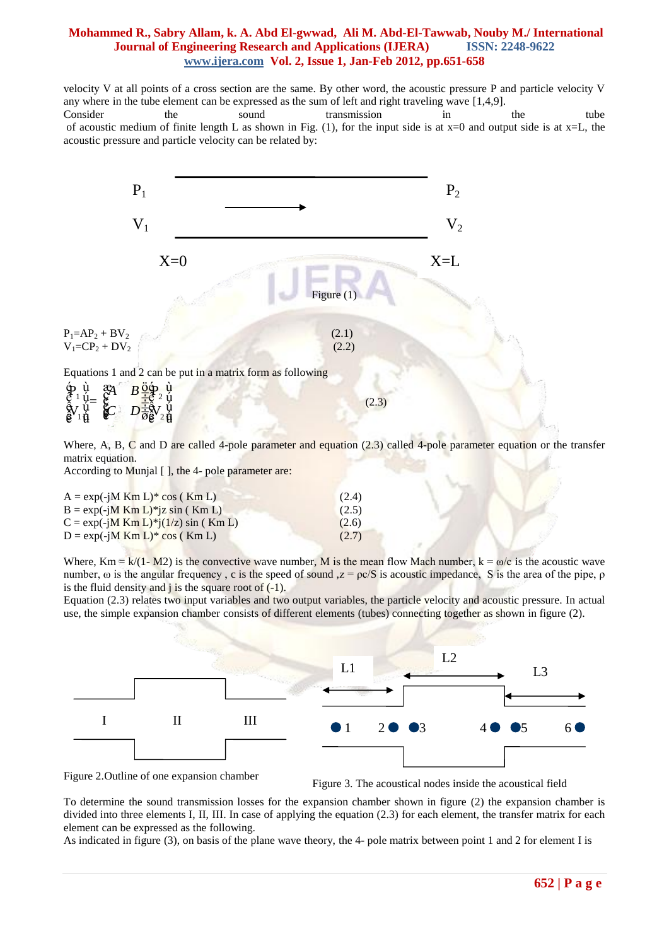velocity V at all points of a cross section are the same. By other word, the acoustic pressure P and particle velocity V any where in the tube element can be expressed as the sum of left and right traveling wave [1,4,9]. Consider the sound transmission in the tube of acoustic medium of finite length L as shown in Fig.  $(1)$ , for the input side is at x=0 and output side is at x=L, the acoustic pressure and particle velocity can be related by:



Where, A, B, C and D are called 4-pole parameter and equation (2.3) called 4-pole parameter equation or the transfer matrix equation.

According to Munjal [ ], the 4- pole parameter are:

| $A = exp(-iM Km L) * cos (Km L)$      | (2.4) |
|---------------------------------------|-------|
| $B = exp(-jM Km L)*jz sin (Km L)$     | (2.5) |
| $C = exp(-iM Km L)*i(1/z) sin (Km L)$ | (2.6) |
| $D = exp(-iM Km L) * cos (Km L)$      | (2.7) |

Where,  $Km = k/(1 - M2)$  is the convective wave number, M is the mean flow Mach number,  $k = \omega/c$  is the acoustic wave number,  $\omega$  is the angular frequency, c is the speed of sound  $z = pc/S$  is acoustic impedance. S is the area of the pipe,  $\rho$ is the fluid density and  $\mathbf i$  is the square root of  $(-1)$ .

Equation (2.3) relates two input variables and two output variables, the particle velocity and acoustic pressure. In actual use, the simple expansion chamber consists of different elements (tubes) connecting together as shown in figure (2).



Figure 2. Outline of one expansion chamber<br>Figure 3. The acoustical nodes inside the acoustical field

To determine the sound transmission losses for the expansion chamber shown in figure (2) the expansion chamber is divided into three elements I, II, III. In case of applying the equation (2.3) for each element, the transfer matrix for each element can be expressed as the following.

As indicated in figure (3), on basis of the plane wave theory, the 4- pole matrix between point 1 and 2 for element I is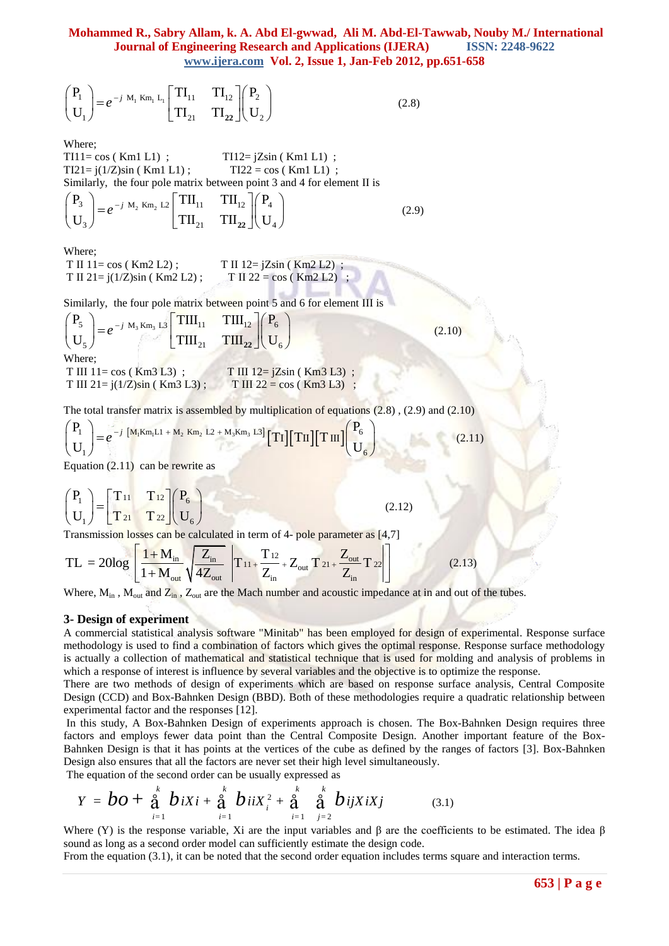$$
\begin{pmatrix}\nP_1 \\
U_1\n\end{pmatrix} = e^{-j M_1 K m_1 L_1} \begin{bmatrix}\n\Pi_{11} & \Pi_{12} \\
\Pi_{21} & \Pi_{22}\n\end{bmatrix}\n\begin{pmatrix}\nP_2 \\
U_2\n\end{pmatrix}
$$
\n(2.8)  
\nWhere;  
\nWhere;  
\nT111 = cos (Km1 L1);  
\nT121 = j(1/Z)sin (Km1 L1);  
\nT122 = cos (Km1 L1);  
\nSimilarly, the four pole matrix between point 3 and 4 for element II is  
\n
$$
\begin{pmatrix}\nP_3 \\
U_3\n\end{pmatrix} = e^{-j M_2 K m_2 L2} \begin{bmatrix}\n\Pi_{11} & \Pi_{12} \\
\Pi_{21} & \Pi_{22}\n\end{bmatrix}\n\begin{bmatrix}\nP_4 \\
U_4\n\end{bmatrix}
$$
\n(2.9)  
\nWhere;  
\nT II 11 = cos (Km2 L2);  
\nT II 22 = j(1/Z)sin (Km2 L2);  
\nT II 22 = cos (Km2 L2);  
\nSimilarly, the four pole matrix between point 5 and 6 for element III is  
\n
$$
\begin{pmatrix}\nP_5 \\
U_5\n\end{pmatrix} = e^{-j M_3 K m_3 L3} \begin{bmatrix}\n\Pi \Pi_{11} & \Pi \Pi_{12} \\
\Pi \Pi_{21} & \Pi \Pi_{22}\n\end{bmatrix}\n\begin{bmatrix}\nP_6 \\
U_6\n\end{bmatrix}
$$
\n(2.10)  
\nWhere;  
\nT III 11 = cos (Km3 L3);  
\nT III 21 = j(1/Z)sin (Km3 L3);  
\nT III 22 = cos (Km3 L3);  
\nT III 22 = cos (Km3 L3);  
\nT II 21 = j(1/Z)sin (Km3 L3);  
\nT II 22 = cos (Km3 L3);  
\nT II 22 = cos (Km3 L3);  
\nT II 23 = (1/Z)sin (Km3 L3);  
\nT II 24 = cos (Km3 L3);  
\nT II 25 = cos (Km3 L3);  
\nT II 26 = -j (M<sub>1</sub>Km<sub>1</sub>L1 + M<sub>2</sub> Km<sub>3</sub> L2 + M

Transmission losses can be calculated in term of 4- pole parameter as [4,7]

$$
\begin{bmatrix}\n U_1\n\end{bmatrix}\n\begin{bmatrix}\nT_{21} & T_{22}\n\end{bmatrix}\n\begin{bmatrix}\n U_6\n\end{bmatrix}
$$
\n
$$
\begin{bmatrix}\nT_{11} & T_{12} \\
T_{12} & T_{22}\n\end{bmatrix}\n\begin{bmatrix}\n U_6\n\end{bmatrix}
$$
\n
$$
\begin{bmatrix}\nT_{11} + M_{\text{in}} \\
1 + M_{\text{out}}\n\end{bmatrix}\n\begin{bmatrix}\nZ_{\text{in}} \\
Z_{\text{in}}\n\end{bmatrix}\n\begin{bmatrix}\nT_{11} + T_{12} \\
Z_{\text{in}}\n\end{bmatrix} + Z_{\text{out}}T_{21} + Z_{\text{out}}T_{22}\n\begin{bmatrix}\nZ_{\text{in}} \\
Z_{\text{in}}\n\end{bmatrix}
$$
\n(2.13)

Where,  $M_{in}$ ,  $M_{out}$  and  $Z_{in}$ ,  $Z_{out}$  are the Mach number and acoustic impedance at in and out of the tubes.

#### **3- Design of experiment**

A commercial statistical analysis software "Minitab" has been employed for design of experimental. Response surface methodology is used to find a combination of factors which gives the optimal response. Response surface methodology is actually a collection of mathematical and statistical technique that is used for molding and analysis of problems in which a response of interest is influence by several variables and the objective is to optimize the response.

There are two methods of design of experiments which are based on response surface analysis, Central Composite Design (CCD) and Box-Bahnken Design (BBD). Both of these methodologies require a quadratic relationship between experimental factor and the responses [12].

In this study, A Box-Bahnken Design of experiments approach is chosen. The Box-Bahnken Design requires three factors and employs fewer data point than the Central Composite Design. Another important feature of the Box-Bahnken Design is that it has points at the vertices of the cube as defined by the ranges of factors [3]. Box-Bahnken Design also ensures that all the factors are never set their high level simultaneously.<br>The equation of Design also ensures that all the factors are never set their high level simultaneously.

The equation of the second order can be usually expressed as

\n Inken Design is that it has points at the vertices of the cube as defined by the random space is given as follows:\n 
$$
Y = \mathbf{b} \cdot \mathbf{c} + \sum_{i=1}^{k} \mathbf{b} \cdot \mathbf{i} \times \mathbf{i} + \sum_{i=1}^{k} \mathbf{b} \cdot \mathbf{i} \times \mathbf{i} + \sum_{i=1}^{k} \sum_{j=2}^{k} \mathbf{b} \cdot \mathbf{i} \times \mathbf{i} \times \mathbf{j}
$$
\n

\n\n (3.1)\n

Where (Y) is the response variable, Xi are the input variables and β are the coefficients to be estimated. The idea β sound as long as a second order model can sufficiently estimate the design code.

From the equation (3.1), it can be noted that the second order equation includes terms square and interaction terms.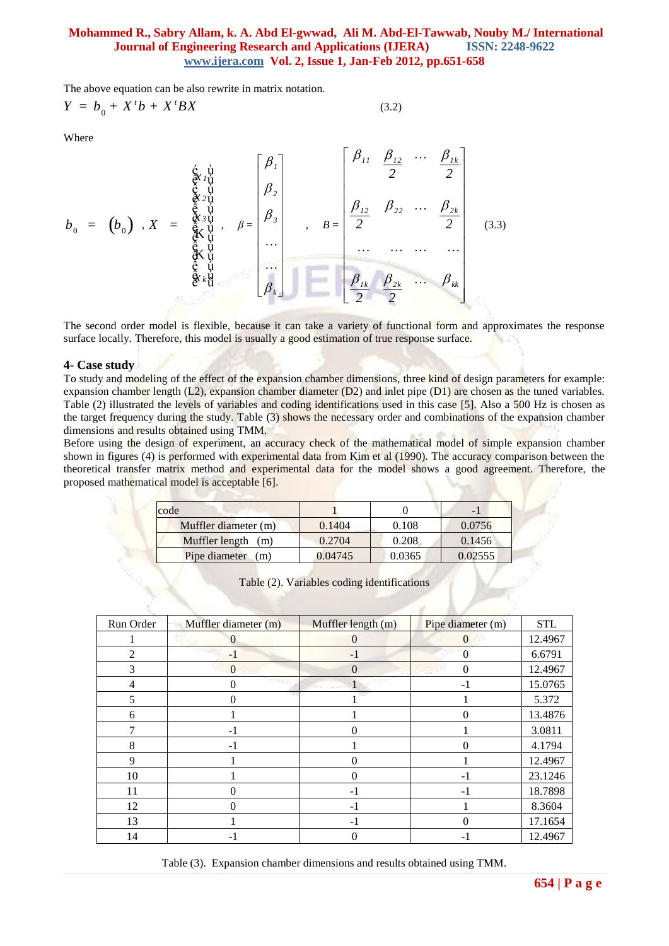The above equation can be also rewrite in matrix notation.

$$
Y = b_0 + X^t b + X^t BX
$$
\n(3.2)

Where

$$
b_{0} = (b_{0}) \t, X = \begin{bmatrix} \hat{\mathbf{e}}_{11} & \hat{\mathbf{e}}_{21} & \cdots & \hat{\mathbf{e}}_{1k} \\ \hat{\mathbf{e}}_{21} & \hat{\mathbf{e}}_{31} & \cdots & \hat{\mathbf{e}}_{3k} \\ \hat{\mathbf{e}}_{31} & \hat{\mathbf{e}}_{31} & \cdots & \hat{\mathbf{e}}_{3k} \\ \vdots & \vdots & \vdots & \vdots & \vdots \\ \hat{\mathbf{e}}_{k1} & \cdots & \hat{\mathbf{e}}_{k1} \\ \vdots & \vdots & \vdots & \vdots & \vdots \\ \hat{\mathbf{e}}_{k1} & \cdots & \cdots & \cdots & \hat{\mathbf{e}}_{k} \end{bmatrix} \t, B_{12} = \begin{bmatrix} \beta_{11} & \beta_{12} & \cdots & \beta_{1k} \\ \beta_{21} & \beta_{22} & \cdots & \beta_{2k} \\ \vdots & \vdots & \ddots & \vdots \\ \beta_{21} & \cdots & \cdots & \cdots \\ \vdots & \vdots & \vdots & \vdots \\ \beta_{2k} & \cdots & \beta_{2k} \\ \hline \frac{\beta_{1k}}{2} & \frac{\beta_{2k}}{2} & \cdots & \beta_{kk} \end{bmatrix} \t{3.3}
$$

The second order model is flexible, because it can take a variety of functional form and approximates the response surface locally. Therefore, this model is usually a good estimation of true response surface.

#### **4- Case study**

To study and modeling of the effect of the expansion chamber dimensions, three kind of design parameters for example: expansion chamber length (L2), expansion chamber diameter (D2) and inlet pipe (D1) are chosen as the tuned variables. Table (2) illustrated the levels of variables and coding identifications used in this case [5]. Also a 500 Hz is chosen as the target frequency during the study. Table (3) shows the necessary order and combinations of the expansion chamber dimensions and results obtained using TMM.

Before using the design of experiment, an accuracy check of the mathematical model of simple expansion chamber shown in figures (4) is performed with experimental data from Kim et al (1990). The accuracy comparison between the theoretical transfer matrix method and experimental data for the model shows a good agreement. Therefore, the proposed mathematical model is acceptable [6].

| code                 |         |        | $\overline{\phantom{a}}$ |  |
|----------------------|---------|--------|--------------------------|--|
| Muffler diameter (m) | 0.1404  | 0.108  | 0.0756                   |  |
| Muffler length (m)   | 0.2704  | 0.208  | 0.1456                   |  |
| Pipe diameter<br>(m) | 0.04745 | 0.0365 | 0.02555                  |  |

Table (2). Variables coding identifications

| Run Order      | Muffler diameter (m) | Muffler length (m) | Pipe diameter (m) | <b>STL</b> |
|----------------|----------------------|--------------------|-------------------|------------|
|                |                      |                    | 0                 | 12.4967    |
| $\mathfrak{D}$ | $-1$                 | $-1$               | 0                 | 6.6791     |
| 3              | $\Omega$             | $\Omega$           | 0                 | 12.4967    |
| 4              | 0                    |                    | $-1$              | 15.0765    |
| 5              | 0                    |                    |                   | 5.372      |
| 6              |                      |                    | 0                 | 13.4876    |
|                | $-1$                 | 0                  |                   | 3.0811     |
| 8              | $-1$                 |                    | 0                 | 4.1794     |
| 9              |                      | 0                  |                   | 12.4967    |
| 10             |                      | 0                  | $-1$              | 23.1246    |
| 11             |                      | -1                 | $-1$              | 18.7898    |
| 12             |                      | $-1$               |                   | 8.3604     |
| 13             |                      | -1                 | 0                 | 17.1654    |
| 14             |                      |                    | - 1               | 12.4967    |

Table (3). Expansion chamber dimensions and results obtained using TMM.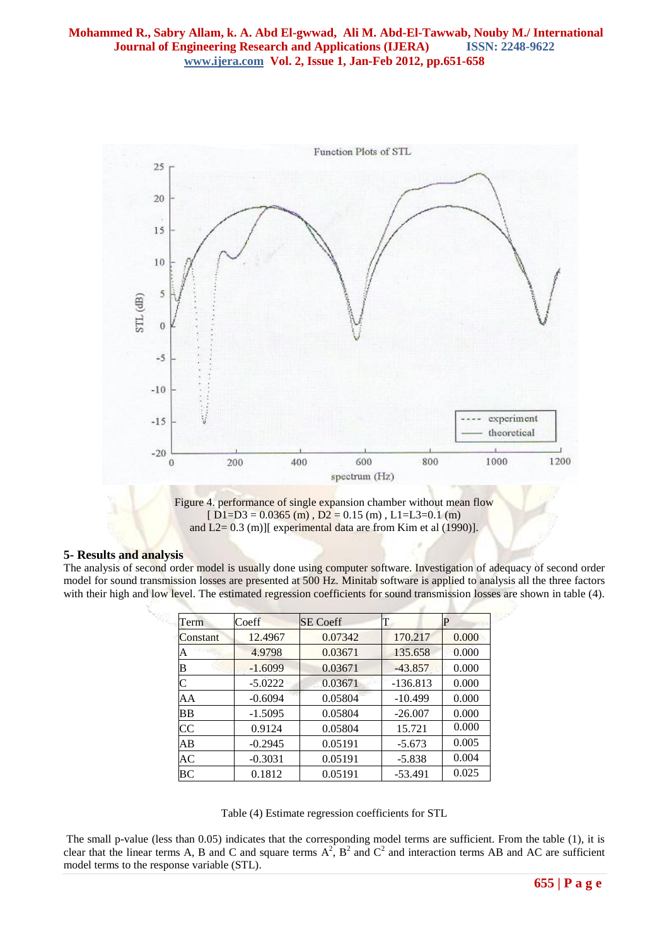

## **5- Results and analysis**

The analysis of second order model is usually done using computer software. Investigation of adequacy of second order model for sound transmission losses are presented at 500 Hz. Minitab software is applied to analysis all the three factors with their high and low level. The estimated regression coefficients for sound transmission losses are shown in table (4).

| Term     | Coeff     | <b>SE</b> Coeff |            |       |
|----------|-----------|-----------------|------------|-------|
| Constant | 12.4967   | 0.07342         | 170.217    | 0.000 |
| А        | 4.9798    | 0.03671         | 135.658    | 0.000 |
| В        | $-1.6099$ | 0.03671         | $-43.857$  | 0.000 |
|          | $-5.0222$ | 0.03671         | $-136.813$ | 0.000 |
| AA       | $-0.6094$ | 0.05804         | $-10.499$  | 0.000 |
| BB       | $-1.5095$ | 0.05804         | $-26.007$  | 0.000 |
| CC       | 0.9124    | 0.05804         | 15.721     | 0.000 |
| AB       | $-0.2945$ | 0.05191         | $-5.673$   | 0.005 |
| AC       | $-0.3031$ | 0.05191         | $-5.838$   | 0.004 |
| ВC       | 0.1812    | 0.05191         | $-53.491$  | 0.025 |

Table (4) Estimate regression coefficients for STL

The small p-value (less than 0.05) indicates that the corresponding model terms are sufficient. From the table (1), it is clear that the linear terms A, B and C and square terms  $A^2$ ,  $B^2$  and  $C^2$  and interaction terms AB and AC are sufficient model terms to the response variable (STL).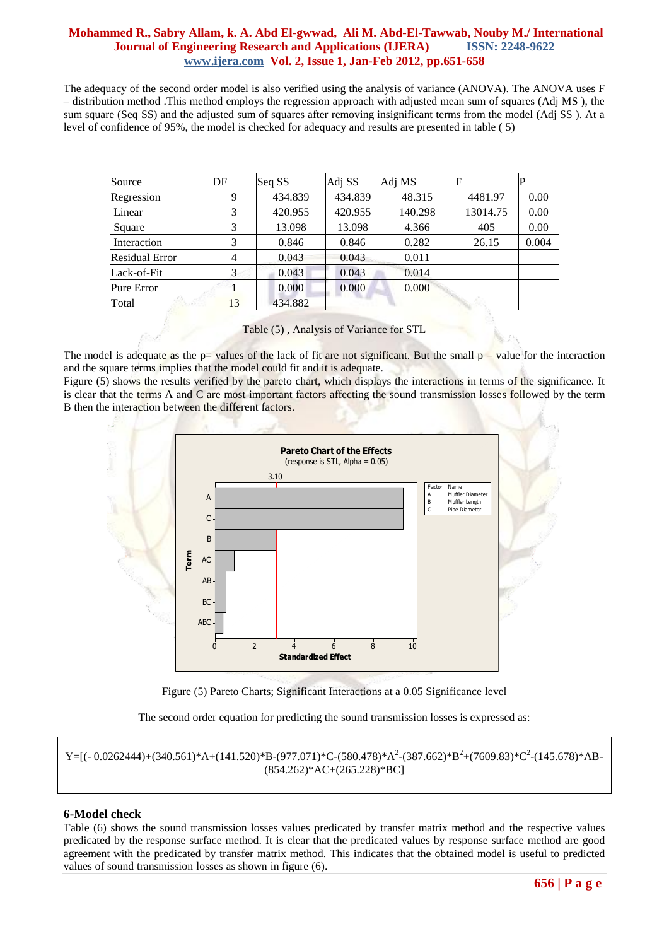The adequacy of the second order model is also verified using the analysis of variance (ANOVA). The ANOVA uses F – distribution method .This method employs the regression approach with adjusted mean sum of squares (Adj MS ), the sum square (Seq SS) and the adjusted sum of squares after removing insignificant terms from the model (Adj SS ). At a level of confidence of 95%, the model is checked for adequacy and results are presented in table ( 5)

| Source                | DF | Seg SS  | Adj SS  | Adj MS  | F        |       |
|-----------------------|----|---------|---------|---------|----------|-------|
| Regression            | 9  | 434.839 | 434.839 | 48.315  | 4481.97  | 0.00  |
| Linear                | 3  | 420.955 | 420.955 | 140.298 | 13014.75 | 0.00  |
| Square                | 3  | 13.098  | 13.098  | 4.366   | 405      | 0.00  |
| Interaction           | 3  | 0.846   | 0.846   | 0.282   | 26.15    | 0.004 |
| <b>Residual Error</b> | 4  | 0.043   | 0.043   | 0.011   |          |       |
| Lack-of-Fit           | 3  | 0.043   | 0.043   | 0.014   |          |       |
| Pure Error            |    | 0.000   | 0.000   | 0.000   |          |       |
| Total<br><b>JACK</b>  | 13 | 434.882 |         |         |          |       |

|  | Table (5), Analysis of Variance for STL |  |  |
|--|-----------------------------------------|--|--|
|--|-----------------------------------------|--|--|

The model is adequate as the p= values of the lack of fit are not significant. But the small  $p -$ value for the interaction and the square terms implies that the model could fit and it is adequate.

Figure (5) shows the results verified by the pareto chart, which displays the interactions in terms of the significance. It is clear that the terms A and C are most important factors affecting the sound transmission losses followed by the term B then the interaction between the different factors.



Figure (5) Pareto Charts; Significant Interactions at a 0.05 Significance level

The second order equation for predicting the sound transmission losses is expressed as:

$$
Y=[(-0.0262444)+(340.561)*A+(141.520)*B-(977.071)*C-(580.478)*A2-(387.662)*B2+(7609.83)*C2-(145.678)*AB-(854.262)*AC+(265.228)*BC]
$$

### **6-Model check**

Table (6) shows the sound transmission losses values predicated by transfer matrix method and the respective values predicated by the response surface method. It is clear that the predicated values by response surface method are good agreement with the predicated by transfer matrix method. This indicates that the obtained model is useful to predicted values of sound transmission losses as shown in figure (6).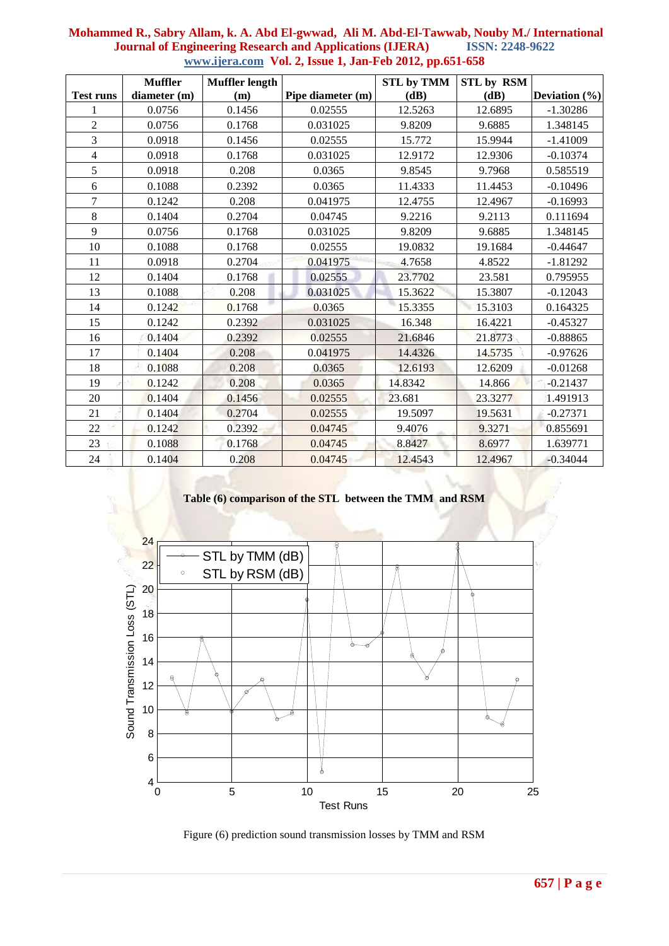| Mohammed R., Sabry Allam, k. A. Abd El-gwwad,  Ali M. Abd-El-Tawwab, Nouby M./ International |                        |
|----------------------------------------------------------------------------------------------|------------------------|
| <b>Journal of Engineering Research and Applications (IJERA)</b>                              | <b>ISSN: 2248-9622</b> |
| www.ijera.com Vol. 2, Issue 1, Jan-Feb 2012, pp.651-658                                      |                        |

|                  | <b>Muffler</b> | <b>Muffler length</b> |                   | <b>STL by TMM</b> | STL by RSM |                   |
|------------------|----------------|-----------------------|-------------------|-------------------|------------|-------------------|
| <b>Test runs</b> | diameter (m)   | (m)                   | Pipe diameter (m) | (dB)              | (dB)       | Deviation $(\% )$ |
| 1                | 0.0756         | 0.1456                | 0.02555           | 12.5263           | 12.6895    | $-1.30286$        |
| $\overline{2}$   | 0.0756         | 0.1768                | 0.031025          | 9.8209            | 9.6885     | 1.348145          |
| $\overline{3}$   | 0.0918         | 0.1456                | 0.02555           | 15.772            | 15.9944    | $-1.41009$        |
| $\overline{4}$   | 0.0918         | 0.1768                | 0.031025          | 12.9172           | 12.9306    | $-0.10374$        |
| 5                | 0.0918         | 0.208                 | 0.0365            | 9.8545            | 9.7968     | 0.585519          |
| 6                | 0.1088         | 0.2392                | 0.0365            | 11.4333           | 11.4453    | $-0.10496$        |
| $\overline{7}$   | 0.1242         | 0.208                 | 0.041975          | 12.4755           | 12.4967    | $-0.16993$        |
| 8                | 0.1404         | 0.2704                | 0.04745           | 9.2216            | 9.2113     | 0.111694          |
| 9                | 0.0756         | 0.1768                | 0.031025          | 9.8209            | 9.6885     | 1.348145          |
| 10               | 0.1088         | 0.1768                | 0.02555           | 19.0832           | 19.1684    | $-0.44647$        |
| 11               | 0.0918         | 0.2704                | 0.041975          | 4.7658            | 4.8522     | $-1.81292$        |
| 12               | 0.1404         | 0.1768                | 0.02555           | 23.7702           | 23.581     | 0.795955          |
| 13               | 0.1088         | 0.208                 | 0.031025          | 15.3622           | 15.3807    | $-0.12043$        |
| 14               | 0.1242         | 0.1768                | 0.0365            | 15.3355           | 15.3103    | 0.164325          |
| 15               | 0.1242         | 0.2392                | 0.031025          | 16.348            | 16.4221    | $-0.45327$        |
| 16               | 0.1404         | 0.2392                | 0.02555           | 21.6846           | 21.8773    | $-0.88865$        |
| 17               | 0.1404         | 0.208                 | 0.041975          | 14.4326           | 14.5735    | $-0.97626$        |
| 18               | 0.1088         | 0.208                 | 0.0365            | 12.6193           | 12.6209    | $-0.01268$        |
| 19               | 0.1242         | 0.208                 | 0.0365            | 14.8342           | 14.866     | $-0.21437$        |
| 20               | 0.1404         | 0.1456                | 0.02555           | 23.681            | 23.3277    | 1.491913          |
| 21               | 0.1404         | 0.2704                | 0.02555           | 19.5097           | 19.5631    | $-0.27371$        |
| 22               | 0.1242         | 0.2392                | 0.04745           | 9.4076            | 9.3271     | 0.855691          |
| 23               | 0.1088         | 0.1768                | 0.04745           | 8.8427            | 8.6977     | 1.639771          |
| 24               | 0.1404         | 0.208                 | 0.04745           | 12.4543           | 12.4967    | $-0.34044$        |

## **Table (6) comparison of the STL between the TMM and RSM**



Figure (6) prediction sound transmission losses by TMM and RSM